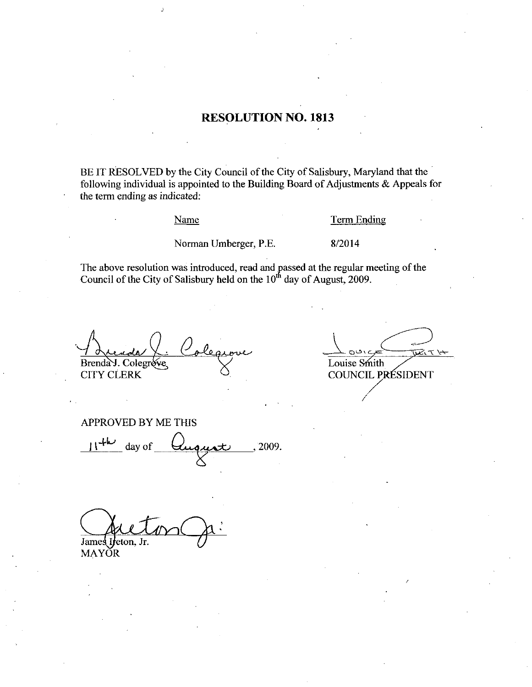## **RESOLUTION NO. 1813**

BE IT RESOLVED by the City Council of the City of Salisbury, Maryland that the following individual is appointed to the Building Board of Adjustments & Appeals for the term ending as indicated:

### Name

#### Term Ending

Norman Umberger, P.E.

8/2014

The above resolution was introduced, read and passed at the regular meeting of the Council of the City of Salisbury held on the  $10<sup>th</sup>$  day of August, 2009.

Brenda J. Colegrove

**CITY CLERK** 

<u> پنې</u>ر *د* Louise Smith COUNCIL PRÉSIDENT

APPROVED BY ME THIS

 $11^{+k}$  day of , 2009.

James I<sub>1</sub> łeton, Jr.

**MAYOR**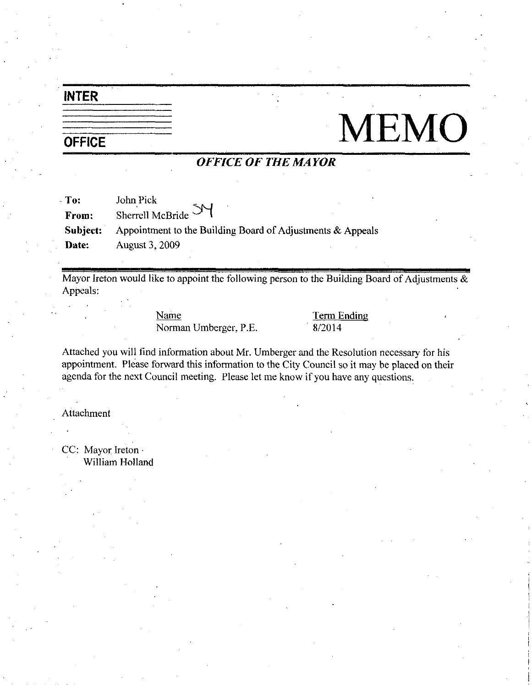# INTER

# **OFFICE**

# **MEMO**

## OFFICE OF THE MAYOR

| To:      | John Pick                                                     |
|----------|---------------------------------------------------------------|
| From:    | Sherrell McBride SY                                           |
| Subject: | Appointment to the Building Board of Adjustments $\&$ Appeals |
| Date:    | <b>August 3, 2009</b>                                         |

Mayor Ireton would like to appoint the following person to the Building Board of Adjustments  $\&$ Appeals

> Name Term Ending Norman Umberger, P.E. 8/2014

Attached youwill find information about Mr Umberger and the Resolution necessary for his appointment. Please forward this information to the City Council so it may be placed on their agenda for the next Council meeting. Please let me know if you have any questions.

Attachment

CC: Mayor Ireton William Holland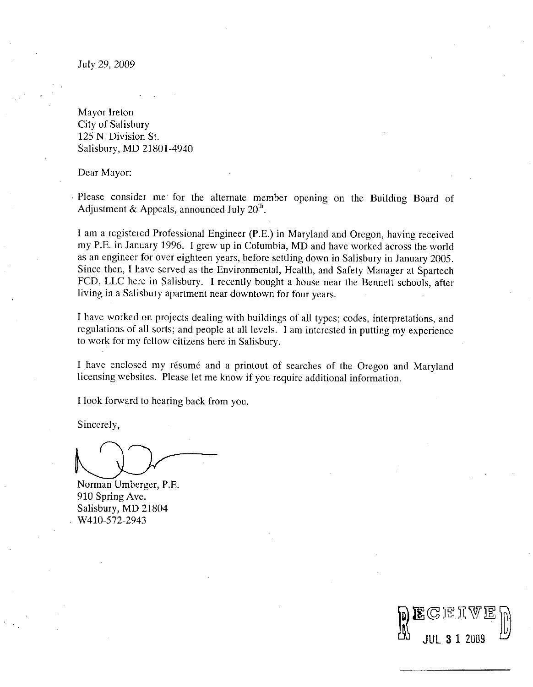Mayor Ireton City of Salisbury 125 N. Division St. Salisbury, MD 21801-4940

Dear Mayor

Please consider me for the alternate member opening on the Building Board of Adjustment & Appeals, announced July  $20<sup>th</sup>$ .

I am <sup>a</sup> registered Professional Engineer (P.E.) in Maryland and Oregon, having received<br>registered Professional Engineer (P.E.) in Maryland and Oregon, having received<br>in January 1996. I grew up in Columbia, MD and have worked acr I am a registered Professional Engineer (P.E.) in Maryland and Oregon, having received my P.E. in January 1996. I grew up in Columbia, MD and have worked across the world as an engineer for over eighteen years, before settling down in Salisbury in January 2005. Since then, I have served as the Environmental, Health, and Safety Manager at Spartech FCD, LLC here in Salisbury. I recently bought a house near the Bennett schools, after living in <sup>a</sup> Salisbury apartment near downtown for four years

I have worked on projects dealing with buildings of all types; codes, interpretations, and regulations of all sorts; and people at all levels. I am interested in putting my experience to work for my fellow citizens here in Salisbury

I have enclosed my résumé and a printout of searches of the Oregon and Maryland licensing websites. Please let me know if you require additional information.

DECEIVED

Ilook forward to hearing back from you

Sincerely

Norman Umberger, P.E. 910 Spring Ave Salisbury, MD 21804 910 Spring Ave.<br>Salisbury, MD 2<br>W410-572-2943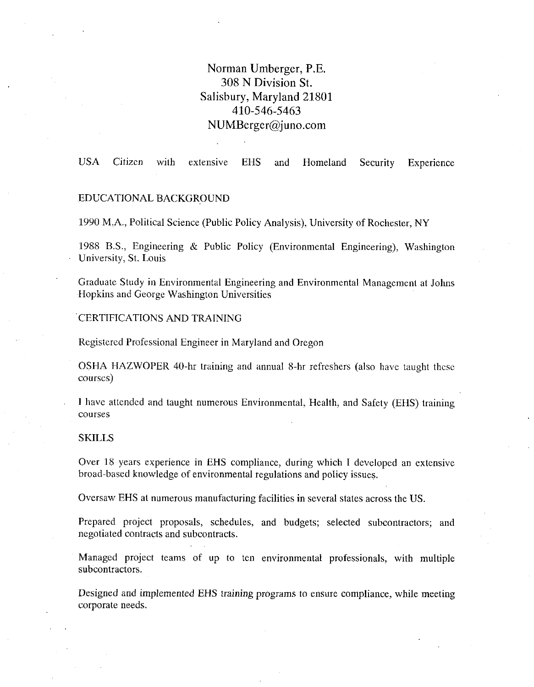## Norman Umberger, P.E. 308 N Division St Salisbury, Maryland 21801 8 is Division 3<br>1ry, Maryland<br>410-546-5463<br>Derre Oinne  $410-546-5463$ <br>NUMBerger@juno.com

USA Citizen with extensive EHS and Homeland Security Experience

## EDUCATIONALBACKGROUND

1990 M.A., Political Science (Public Policy Analysis), University of Rochester, NY

1988 B.S., Engineering & Public Policy (Environmental Engineering), Washington University, St. Louis

Graduate Study in Environmental Engineering and Environmental Management at Johns Hopkins and George Washington Universities

CERTIFICATIONS AND TRAINING

Registered Professional Engineer in Maryland and Oregon

OSHA HAZWOPER 40-hr training and annual 8-hr refreshers (also have taught these courses

I have attended and taught numerous Environmental, Health, and Safety (EHS) training courses

#### **SKILLS**

Over 18 years experience in EHS compliance, during which I developed an extensive broad-based knowledge of environmental regulations and policy issues.

Oversaw EHS at numerous manufacturing facilities in several states across the US

Prepared project proposals, schedules, and budgets; selected subcontractors; and negotiated contracts and subcontracts

Managed project teams of up to ten environmental professionals, with multiple subcontractors.

Designed and implemented EHS training programs to ensure compliance, while meeting corporate needs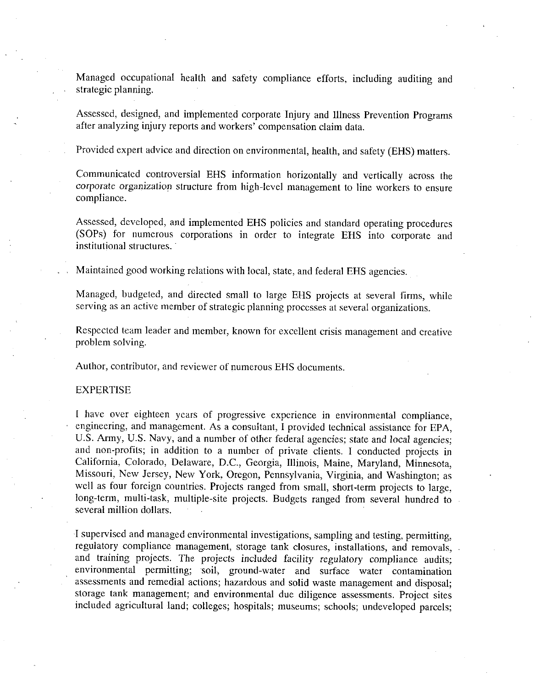Managed occupational health and safety compliance efforts, including auditing and strategic planning

Assessed, designed, and implemented corporate Injury and Illness Prevention Programs after analyzing injury reports and workers' compensation claim data.

Provided expert advice and direction on environmental, health, and safety (EHS) matters.

Communicated controversial EHS information horizontally and vertically across the corporate organization structure from high level management to line workers to ensure compliance

Assessed, developed, and implemented EHS policies and standard operating procedures (SOPs) for numerous corporations in order to integrate EHS into corporate and institutional structures.

Maintained good working relations with local, state, and federal EHS agencies.

Managed, budgeted, and directed small to large EHS projects at several firms, while serving as an active member of strategic planning processes at several organizations

Respected team leader and member, known for excellent crisis management and creative problem solving

Author, contributor, and reviewer of numerous EHS documents.

### EXPERTISE

have over eighteen years of progressive experience in environmental compliance engineering, and management. As a consultant, I provided technical assistance for EPA, engineering, and management. As a consultant, I provided technical assistance for EPA,<br>U.S. Army, U.S. Navy, and a number of other federal agencies; state and local agencies; U.S. Army, U.S. Navy, and a number of other federal agencies; state and local agencies, and non-profits; in addition to a number of private clients. I conducted projects in California Colorado, Delevera, D.C. Coargie, Wing and non-profits; in addition to a number of private clients. I conducted projects in California, Colorado, Delaware, D.C., Georgia, Illinois, Maine, Maryland, Minnesota, Missouri, New Jersey, New York, Oregon, Pennsylvania, Virginia, and Washington; as wissouri, New Jersey, New York, Oregon, Femsylvania, Virginia, and Washington; as<br>well as four foreign countries. Projects ranged from small, short-term projects to large,<br>long-term, multi-task, multiple-site projects. Bud several million dollars

I supervised and managed environmental investigations, sampling and testing, permitting, regulatory compliance management, storage tank closures, installations, and removals, and training projects. The projects included facility regulatory compliance audits; environmental permitting; soil, ground-water and surface water contamination assessments and remedial actions; hazardous and solid waste management and disposal; storage tank management; and environmental due diligence assessments. Project sites included agricultural land; colleges; hospitals; museums; schools; undeveloped parcels;